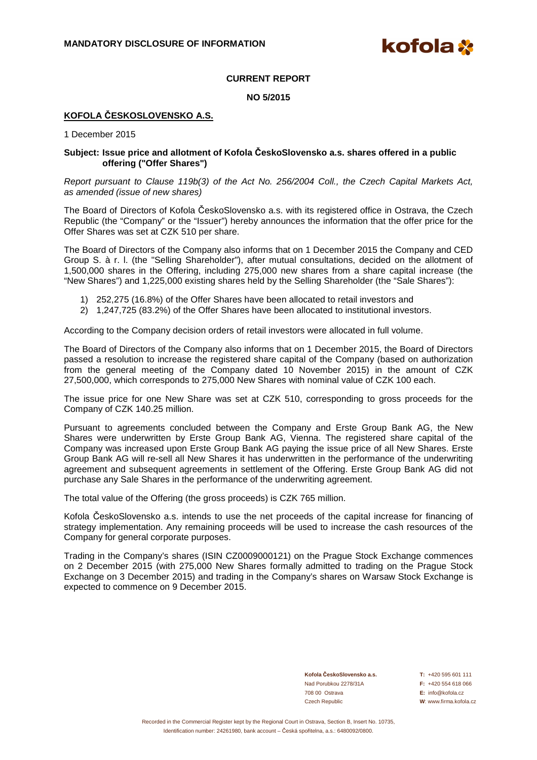**kofola** 

### **CURRENT REPORT**

**NO 5/2015** 

## **KOFOLA ČESKOSLOVENSKO A.S.**

1 December 2015

#### **Subject: Issue price and allotment of Kofola ČeskoSlovensko a.s. shares offered in a public offering ("Offer Shares")**

Report pursuant to Clause 119b(3) of the Act No. 256/2004 Coll., the Czech Capital Markets Act, as amended (issue of new shares)

The Board of Directors of Kofola ČeskoSlovensko a.s. with its registered office in Ostrava, the Czech Republic (the "Company" or the "Issuer") hereby announces the information that the offer price for the Offer Shares was set at CZK 510 per share.

The Board of Directors of the Company also informs that on 1 December 2015 the Company and CED Group S. à r. l. (the "Selling Shareholder"), after mutual consultations, decided on the allotment of 1,500,000 shares in the Offering, including 275,000 new shares from a share capital increase (the "New Shares") and 1,225,000 existing shares held by the Selling Shareholder (the "Sale Shares"):

- 1) 252,275 (16.8%) of the Offer Shares have been allocated to retail investors and
- 2) 1,247,725 (83.2%) of the Offer Shares have been allocated to institutional investors.

According to the Company decision orders of retail investors were allocated in full volume.

The Board of Directors of the Company also informs that on 1 December 2015, the Board of Directors passed a resolution to increase the registered share capital of the Company (based on authorization from the general meeting of the Company dated 10 November 2015) in the amount of CZK 27,500,000, which corresponds to 275,000 New Shares with nominal value of CZK 100 each.

The issue price for one New Share was set at CZK 510, corresponding to gross proceeds for the Company of CZK 140.25 million.

Pursuant to agreements concluded between the Company and Erste Group Bank AG, the New Shares were underwritten by Erste Group Bank AG, Vienna. The registered share capital of the Company was increased upon Erste Group Bank AG paying the issue price of all New Shares. Erste Group Bank AG will re-sell all New Shares it has underwritten in the performance of the underwriting agreement and subsequent agreements in settlement of the Offering. Erste Group Bank AG did not purchase any Sale Shares in the performance of the underwriting agreement.

The total value of the Offering (the gross proceeds) is CZK 765 million.

Kofola ČeskoSlovensko a.s. intends to use the net proceeds of the capital increase for financing of strategy implementation. Any remaining proceeds will be used to increase the cash resources of the Company for general corporate purposes.

Trading in the Company's shares (ISIN CZ0009000121) on the Prague Stock Exchange commences on 2 December 2015 (with 275,000 New Shares formally admitted to trading on the Prague Stock Exchange on 3 December 2015) and trading in the Company's shares on Warsaw Stock Exchange is expected to commence on 9 December 2015.

> **Kofola ČeskoSlovensko a.s. T:** +420 595 601 111 Nad Porubkou 2278/31A **F:** +420 554 618 066 708 00 Ostrava **E:** info@kofola.cz Czech Republic **W**: www.firma.kofola.cz

Recorded in the Commercial Register kept by the Regional Court in Ostrava, Section B, Insert No. 10735, Identification number: 24261980, bank account – Česká spořitelna, a.s.: 6480092/0800.